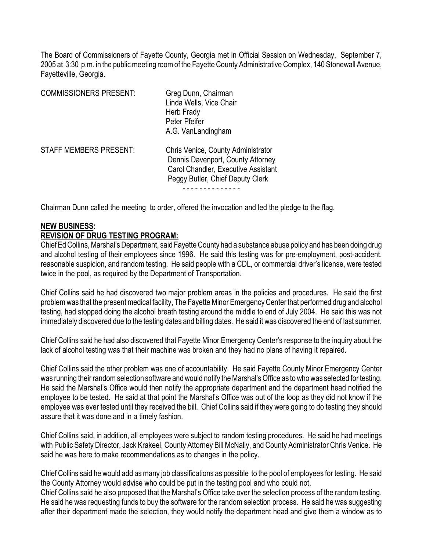The Board of Commissioners of Fayette County, Georgia met in Official Session on Wednesday, September 7, 2005 at 3:30 p.m. in the public meeting room of the Fayette County Administrative Complex, 140 Stonewall Avenue, Fayetteville, Georgia.

| <b>COMMISSIONERS PRESENT:</b> | Greg Dunn, Chairman<br>Linda Wells, Vice Chair<br>Herb Frady<br>Peter Pfeifer<br>A.G. VanLandingham                                                |
|-------------------------------|----------------------------------------------------------------------------------------------------------------------------------------------------|
| <b>STAFF MEMBERS PRESENT:</b> | Chris Venice, County Administrator<br>Dennis Davenport, County Attorney<br>Carol Chandler, Executive Assistant<br>Peggy Butler, Chief Deputy Clerk |

Chairman Dunn called the meeting to order, offered the invocation and led the pledge to the flag.

### **NEW BUSINESS:**

#### **REVISION OF DRUG TESTING PROGRAM:**

Chief Ed Collins, Marshal's Department, said Fayette County had a substance abuse policy and has been doing drug and alcohol testing of their employees since 1996. He said this testing was for pre-employment, post-accident, reasonable suspicion, and random testing. He said people with a CDL, or commercial driver's license, were tested twice in the pool, as required by the Department of Transportation.

Chief Collins said he had discovered two major problem areas in the policies and procedures. He said the first problem was that the present medical facility, The Fayette Minor Emergency Center that performed drug and alcohol testing, had stopped doing the alcohol breath testing around the middle to end of July 2004. He said this was not immediately discovered due to the testing dates and billing dates. He said it was discovered the end of last summer.

Chief Collins said he had also discovered that Fayette Minor Emergency Center's response to the inquiry about the lack of alcohol testing was that their machine was broken and they had no plans of having it repaired.

Chief Collins said the other problem was one of accountability. He said Fayette County Minor Emergency Center was running their random selection software and would notify the Marshal's Office as to who was selected for testing. He said the Marshal's Office would then notify the appropriate department and the department head notified the employee to be tested. He said at that point the Marshal's Office was out of the loop as they did not know if the employee was ever tested until they received the bill. Chief Collins said if they were going to do testing they should assure that it was done and in a timely fashion.

Chief Collins said, in addition, all employees were subject to random testing procedures. He said he had meetings with Public Safety Director, Jack Krakeel, County Attorney Bill McNally, and County Administrator Chris Venice. He said he was here to make recommendations as to changes in the policy.

Chief Collins said he would add as many job classifications as possible to the pool of employees for testing. He said the County Attorney would advise who could be put in the testing pool and who could not.

Chief Collins said he also proposed that the Marshal's Office take over the selection process of the random testing. He said he was requesting funds to buy the software for the random selection process. He said he was suggesting after their department made the selection, they would notify the department head and give them a window as to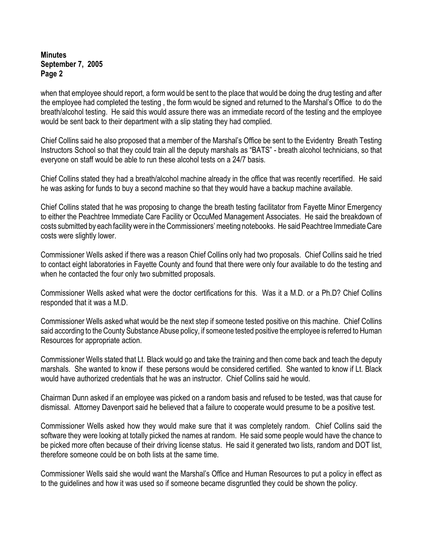when that employee should report, a form would be sent to the place that would be doing the drug testing and after the employee had completed the testing , the form would be signed and returned to the Marshal's Office to do the breath/alcohol testing. He said this would assure there was an immediate record of the testing and the employee would be sent back to their department with a slip stating they had complied.

Chief Collins said he also proposed that a member of the Marshal's Office be sent to the Evidentry Breath Testing Instructors School so that they could train all the deputy marshals as "BATS" - breath alcohol technicians, so that everyone on staff would be able to run these alcohol tests on a 24/7 basis.

Chief Collins stated they had a breath/alcohol machine already in the office that was recently recertified. He said he was asking for funds to buy a second machine so that they would have a backup machine available.

Chief Collins stated that he was proposing to change the breath testing facilitator from Fayette Minor Emergency to either the Peachtree Immediate Care Facility or OccuMed Management Associates. He said the breakdown of costs submitted by each facility were in the Commissioners' meeting notebooks. He said Peachtree Immediate Care costs were slightly lower.

Commissioner Wells asked if there was a reason Chief Collins only had two proposals. Chief Collins said he tried to contact eight laboratories in Fayette County and found that there were only four available to do the testing and when he contacted the four only two submitted proposals.

Commissioner Wells asked what were the doctor certifications for this. Was it a M.D. or a Ph.D? Chief Collins responded that it was a M.D.

Commissioner Wells asked what would be the next step if someone tested positive on this machine. Chief Collins said according to the County Substance Abuse policy, if someone tested positive the employee is referred to Human Resources for appropriate action.

Commissioner Wells stated that Lt. Black would go and take the training and then come back and teach the deputy marshals. She wanted to know if these persons would be considered certified. She wanted to know if Lt. Black would have authorized credentials that he was an instructor. Chief Collins said he would.

Chairman Dunn asked if an employee was picked on a random basis and refused to be tested, was that cause for dismissal. Attorney Davenport said he believed that a failure to cooperate would presume to be a positive test.

Commissioner Wells asked how they would make sure that it was completely random. Chief Collins said the software they were looking at totally picked the names at random. He said some people would have the chance to be picked more often because of their driving license status. He said it generated two lists, random and DOT list, therefore someone could be on both lists at the same time.

Commissioner Wells said she would want the Marshal's Office and Human Resources to put a policy in effect as to the guidelines and how it was used so if someone became disgruntled they could be shown the policy.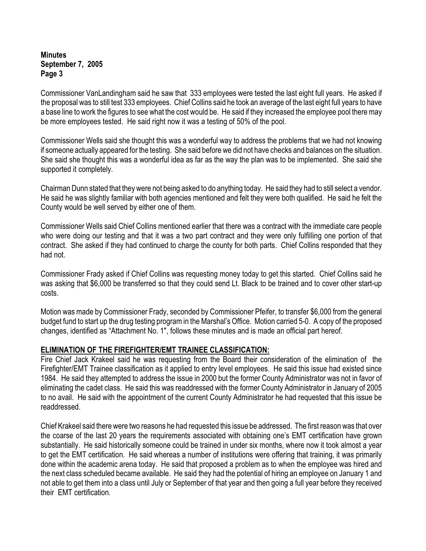Commissioner VanLandingham said he saw that 333 employees were tested the last eight full years. He asked if the proposal was to still test 333 employees. Chief Collins said he took an average of the last eight full years to have a base line to work the figures to see what the cost would be. He said if they increased the employee pool there may be more employees tested. He said right now it was a testing of 50% of the pool.

Commissioner Wells said she thought this was a wonderful way to address the problems that we had not knowing if someone actually appeared for the testing. She said before we did not have checks and balances on the situation. She said she thought this was a wonderful idea as far as the way the plan was to be implemented. She said she supported it completely.

Chairman Dunn stated that they were not being asked to do anything today. He said they had to still select a vendor. He said he was slightly familiar with both agencies mentioned and felt they were both qualified. He said he felt the County would be well served by either one of them.

Commissioner Wells said Chief Collins mentioned earlier that there was a contract with the immediate care people who were doing our testing and that it was a two part contract and they were only fulfilling one portion of that contract. She asked if they had continued to charge the county for both parts. Chief Collins responded that they had not.

Commissioner Frady asked if Chief Collins was requesting money today to get this started. Chief Collins said he was asking that \$6,000 be transferred so that they could send Lt. Black to be trained and to cover other start-up costs.

Motion was made by Commissioner Frady, seconded by Commissioner Pfeifer, to transfer \$6,000 from the general budget fund to start up the drug testing program in the Marshal's Office. Motion carried 5-0. A copy of the proposed changes, identified as "Attachment No. 1", follows these minutes and is made an official part hereof.

### **ELIMINATION OF THE FIREFIGHTER/EMT TRAINEE CLASSIFICATION:**

Fire Chief Jack Krakeel said he was requesting from the Board their consideration of the elimination of the Firefighter/EMT Trainee classification as it applied to entry level employees. He said this issue had existed since 1984. He said they attempted to address the issue in 2000 but the former County Administrator was not in favor of eliminating the cadet class. He said this was readdressed with the former County Administrator in January of 2005 to no avail. He said with the appointment of the current County Administrator he had requested that this issue be readdressed.

Chief Krakeel said there were two reasons he had requested this issue be addressed. The first reason was that over the coarse of the last 20 years the requirements associated with obtaining one's EMT certification have grown substantially. He said historically someone could be trained in under six months, where now it took almost a year to get the EMT certification. He said whereas a number of institutions were offering that training, it was primarily done within the academic arena today. He said that proposed a problem as to when the employee was hired and the next class scheduled became available. He said they had the potential of hiring an employee on January 1 and not able to get them into a class until July or September of that year and then going a full year before they received their EMT certification.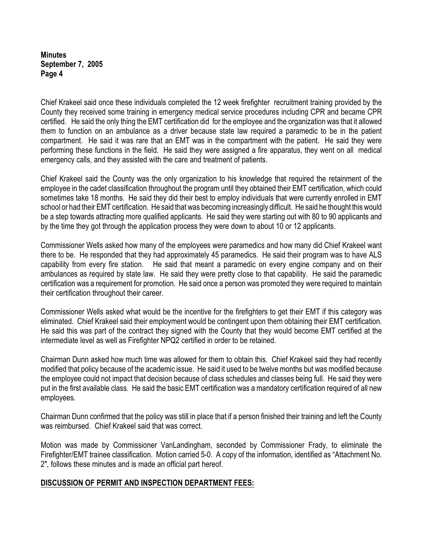Chief Krakeel said once these individuals completed the 12 week firefighter recruitment training provided by the County they received some training in emergency medical service procedures including CPR and became CPR certified. He said the only thing the EMT certification did for the employee and the organization was that it allowed them to function on an ambulance as a driver because state law required a paramedic to be in the patient compartment. He said it was rare that an EMT was in the compartment with the patient. He said they were performing these functions in the field. He said they were assigned a fire apparatus, they went on all medical emergency calls, and they assisted with the care and treatment of patients.

Chief Krakeel said the County was the only organization to his knowledge that required the retainment of the employee in the cadet classification throughout the program until they obtained their EMT certification, which could sometimes take 18 months. He said they did their best to employ individuals that were currently enrolled in EMT school or had their EMT certification. He said that was becoming increasingly difficult. He said he thought this would be a step towards attracting more qualified applicants. He said they were starting out with 80 to 90 applicants and by the time they got through the application process they were down to about 10 or 12 applicants.

Commissioner Wells asked how many of the employees were paramedics and how many did Chief Krakeel want there to be. He responded that they had approximately 45 paramedics. He said their program was to have ALS capability from every fire station. He said that meant a paramedic on every engine company and on their ambulances as required by state law. He said they were pretty close to that capability. He said the paramedic certification was a requirement for promotion. He said once a person was promoted they were required to maintain their certification throughout their career.

Commissioner Wells asked what would be the incentive for the firefighters to get their EMT if this category was eliminated. Chief Krakeel said their employment would be contingent upon them obtaining their EMT certification. He said this was part of the contract they signed with the County that they would become EMT certified at the intermediate level as well as Firefighter NPQ2 certified in order to be retained.

Chairman Dunn asked how much time was allowed for them to obtain this. Chief Krakeel said they had recently modified that policy because of the academic issue. He said it used to be twelve months but was modified because the employee could not impact that decision because of class schedules and classes being full. He said they were put in the first available class. He said the basic EMT certification was a mandatory certification required of all new employees.

Chairman Dunn confirmed that the policy was still in place that if a person finished their training and left the County was reimbursed. Chief Krakeel said that was correct.

Motion was made by Commissioner VanLandingham, seconded by Commissioner Frady, to eliminate the Firefighter/EMT trainee classification. Motion carried 5-0.A copy of the information, identified as "Attachment No. 2", follows these minutes and is made an official part hereof.

### **DISCUSSION OF PERMIT AND INSPECTION DEPARTMENT FEES:**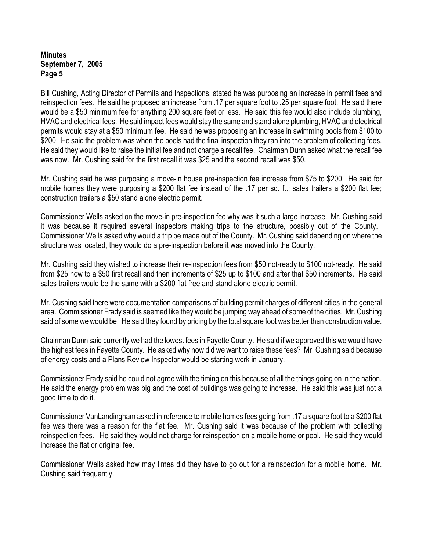Bill Cushing, Acting Director of Permits and Inspections, stated he was purposing an increase in permit fees and reinspection fees. He said he proposed an increase from .17 per square foot to .25 per square foot. He said there would be a \$50 minimum fee for anything 200 square feet or less. He said this fee would also include plumbing, HVAC and electrical fees. He said impact fees would stay the same and stand alone plumbing, HVAC and electrical permits would stay at a \$50 minimum fee. He said he was proposing an increase in swimming pools from \$100 to \$200. He said the problem was when the pools had the final inspection they ran into the problem of collecting fees. He said they would like to raise the initial fee and not charge a recall fee. Chairman Dunn asked what the recall fee was now. Mr. Cushing said for the first recall it was \$25 and the second recall was \$50.

Mr. Cushing said he was purposing a move-in house pre-inspection fee increase from \$75 to \$200. He said for mobile homes they were purposing a \$200 flat fee instead of the .17 per sq. ft.; sales trailers a \$200 flat fee; construction trailers a \$50 stand alone electric permit.

Commissioner Wells asked on the move-in pre-inspection fee why was it such a large increase. Mr. Cushing said it was because it required several inspectors making trips to the structure, possibly out of the County. Commissioner Wells asked why would a trip be made out of the County. Mr. Cushing said depending on where the structure was located, they would do a pre-inspection before it was moved into the County.

Mr. Cushing said they wished to increase their re-inspection fees from \$50 not-ready to \$100 not-ready. He said from \$25 now to a \$50 first recall and then increments of \$25 up to \$100 and after that \$50 increments. He said sales trailers would be the same with a \$200 flat free and stand alone electric permit.

Mr. Cushing said there were documentation comparisons of building permit charges of different cities in the general area. Commissioner Frady said is seemed like they would be jumping way ahead of some of the cities. Mr. Cushing said of some we would be. He said they found by pricing by the total square foot was better than construction value.

Chairman Dunn said currently we had the lowest fees in Fayette County. He said if we approved this we would have the highest fees in Fayette County. He asked why now did we want to raise these fees? Mr. Cushing said because of energy costs and a Plans Review Inspector would be starting work in January.

Commissioner Frady said he could not agree with the timing on this because of all the things going on in the nation. He said the energy problem was big and the cost of buildings was going to increase. He said this was just not a good time to do it.

Commissioner VanLandingham asked in reference to mobile homes fees going from .17 a square foot to a \$200 flat fee was there was a reason for the flat fee. Mr. Cushing said it was because of the problem with collecting reinspection fees. He said they would not charge for reinspection on a mobile home or pool. He said they would increase the flat or original fee.

Commissioner Wells asked how may times did they have to go out for a reinspection for a mobile home. Mr. Cushing said frequently.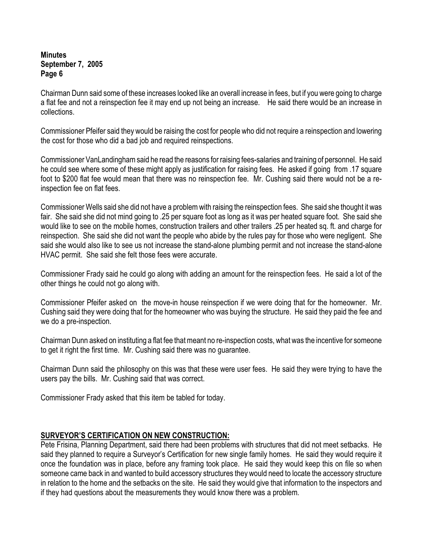Chairman Dunn said some of these increases looked like an overall increase in fees, but if you were going to charge a flat fee and not a reinspection fee it may end up not being an increase. He said there would be an increase in collections.

Commissioner Pfeifer said they would be raising the cost for people who did not require a reinspection and lowering the cost for those who did a bad job and required reinspections.

Commissioner VanLandingham said he read the reasons for raising fees-salaries and training of personnel. He said he could see where some of these might apply as justification for raising fees. He asked if going from .17 square foot to \$200 flat fee would mean that there was no reinspection fee. Mr. Cushing said there would not be a reinspection fee on flat fees.

Commissioner Wells said she did not have a problem with raising the reinspection fees. She said she thought it was fair. She said she did not mind going to .25 per square foot as long as it was per heated square foot. She said she would like to see on the mobile homes, construction trailers and other trailers .25 per heated sq. ft. and charge for reinspection. She said she did not want the people who abide by the rules pay for those who were negligent. She said she would also like to see us not increase the stand-alone plumbing permit and not increase the stand-alone HVAC permit. She said she felt those fees were accurate.

Commissioner Frady said he could go along with adding an amount for the reinspection fees. He said a lot of the other things he could not go along with.

Commissioner Pfeifer asked on the move-in house reinspection if we were doing that for the homeowner. Mr. Cushing said they were doing that for the homeowner who was buying the structure. He said they paid the fee and we do a pre-inspection.

Chairman Dunn asked on instituting a flat fee that meant no re-inspection costs, what was the incentive for someone to get it right the first time. Mr. Cushing said there was no guarantee.

Chairman Dunn said the philosophy on this was that these were user fees. He said they were trying to have the users pay the bills. Mr. Cushing said that was correct.

Commissioner Frady asked that this item be tabled for today.

# **SURVEYOR'S CERTIFICATION ON NEW CONSTRUCTION:**

Pete Frisina, Planning Department, said there had been problems with structures that did not meet setbacks. He said they planned to require a Surveyor's Certification for new single family homes. He said they would require it once the foundation was in place, before any framing took place. He said they would keep this on file so when someone came back in and wanted to build accessory structures they would need to locate the accessory structure in relation to the home and the setbacks on the site. He said they would give that information to the inspectors and if they had questions about the measurements they would know there was a problem.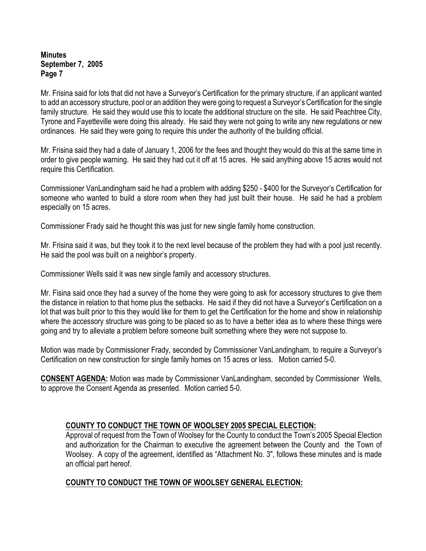Mr. Frisina said for lots that did not have a Surveyor's Certification for the primary structure, if an applicant wanted to add an accessory structure, pool or an addition they were going to request a Surveyor's Certification for the single family structure. He said they would use this to locate the additional structure on the site. He said Peachtree City, Tyrone and Fayetteville were doing this already. He said they were not going to write any new regulations or new ordinances. He said they were going to require this under the authority of the building official.

Mr. Frisina said they had a date of January 1, 2006 for the fees and thought they would do this at the same time in order to give people warning. He said they had cut it off at 15 acres. He said anything above 15 acres would not require this Certification.

Commissioner VanLandingham said he had a problem with adding \$250 - \$400 for the Surveyor's Certification for someone who wanted to build a store room when they had just built their house. He said he had a problem especially on 15 acres.

Commissioner Frady said he thought this was just for new single family home construction.

Mr. Frisina said it was, but they took it to the next level because of the problem they had with a pool just recently. He said the pool was built on a neighbor's property.

Commissioner Wells said it was new single family and accessory structures.

Mr. Fisina said once they had a survey of the home they were going to ask for accessory structures to give them the distance in relation to that home plus the setbacks. He said if they did not have a Surveyor's Certification on a lot that was built prior to this they would like for them to get the Certification for the home and show in relationship where the accessory structure was going to be placed so as to have a better idea as to where these things were going and try to alleviate a problem before someone built something where they were not suppose to.

Motion was made by Commissioner Frady, seconded by Commissioner VanLandingham, to require a Surveyor's Certification on new construction for single family homes on 15 acres or less. Motion carried 5-0.

**CONSENT AGENDA:** Motion was made by Commissioner VanLandingham, seconded by Commissioner Wells, to approve the Consent Agenda as presented. Motion carried 5-0.

# **COUNTY TO CONDUCT THE TOWN OF WOOLSEY 2005 SPECIAL ELECTION:**

Approval of request from the Town of Woolsey for the County to conduct the Town's 2005 Special Election and authorization for the Chairman to executive the agreement between the County and the Town of Woolsey. A copy of the agreement, identified as "Attachment No. 3", follows these minutes and is made an official part hereof.

# **COUNTY TO CONDUCT THE TOWN OF WOOLSEY GENERAL ELECTION:**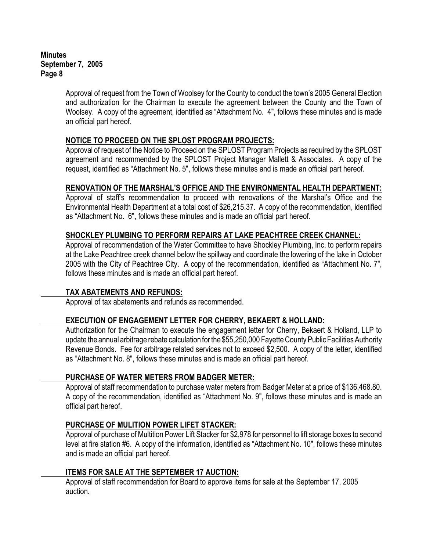> Approval of request from the Town of Woolsey for the County to conduct the town's 2005 General Election and authorization for the Chairman to execute the agreement between the County and the Town of Woolsey.A copy of the agreement, identified as "Attachment No. 4", follows these minutes and is made an official part hereof.

# **NOTICE TO PROCEED ON THE SPLOST PROGRAM PROJECTS:**

Approval of request of the Notice to Proceed on the SPLOST Program Projects as required by the SPLOST agreement and recommended by the SPLOST Project Manager Mallett & Associates.A copy of the request, identified as "Attachment No. 5", follows these minutes and is made an official part hereof.

### **RENOVATION OF THE MARSHAL'S OFFICE AND THE ENVIRONMENTAL HEALTH DEPARTMENT:**

Approval of staff's recommendation to proceed with renovations of the Marshal's Office and the Environmental Health Department at a total cost of \$26,215.37.A copy of the recommendation, identified as "Attachment No. 6", follows these minutes and is made an official part hereof.

# **SHOCKLEY PLUMBING TO PERFORM REPAIRS AT LAKE PEACHTREE CREEK CHANNEL:**

Approval of recommendation of the Water Committee to have Shockley Plumbing, Inc. to perform repairs at the Lake Peachtree creek channel below the spillway and coordinate the lowering of the lake in October 2005 with the City of Peachtree City. A copy of the recommendation, identified as "Attachment No. 7", follows these minutes and is made an official part hereof.

### **TAX ABATEMENTS AND REFUNDS:**

Approval of tax abatements and refunds as recommended.

### **EXECUTION OF ENGAGEMENT LETTER FOR CHERRY, BEKAERT & HOLLAND:**

Authorization for the Chairman to execute the engagement letter for Cherry, Bekaert & Holland, LLP to update the annual arbitrage rebate calculation for the \$55,250,000 Fayette County Public Facilities Authority Revenue Bonds. Fee for arbitrage related services not to exceed \$2,500. A copy of the letter, identified as "Attachment No. 8", follows these minutes and is made an official part hereof.

### **PURCHASE OF WATER METERS FROM BADGER METER:**

Approval of staff recommendation to purchase water meters from Badger Meter at a price of \$136,468.80. A copy of the recommendation, identified as "Attachment No. 9", follows these minutes and is made an official part hereof.

### **PURCHASE OF MULITION POWER LIFET STACKER:**

Approval of purchase of Multition Power Lift Stacker for \$2,978 for personnel to lift storage boxes to second level at fire station #6. A copy of the information, identified as "Attachment No. 10", follows these minutes and is made an official part hereof.

### **ITEMS FOR SALE AT THE SEPTEMBER 17 AUCTION:**

Approval of staff recommendation for Board to approve items for sale at the September 17, 2005 auction.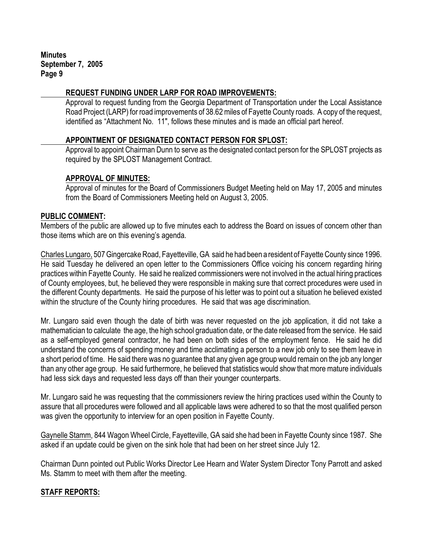### **REQUEST FUNDING UNDER LARP FOR ROAD IMPROVEMENTS:**

Approval to request funding from the Georgia Department of Transportation under the Local Assistance Road Project (LARP) for road improvements of 38.62 miles of Fayette County roads. A copy of the request, identified as "Attachment No. 11", follows these minutes and is made an official part hereof.

### **APPOINTMENT OF DESIGNATED CONTACT PERSON FOR SPLOST:**

Approval to appoint Chairman Dunn to serve as the designated contact person for the SPLOST projects as required by the SPLOST Management Contract.

### **APPROVAL OF MINUTES:**

Approval of minutes for the Board of Commissioners Budget Meeting held on May 17, 2005 and minutes from the Board of Commissioners Meeting held on August 3, 2005.

### **PUBLIC COMMENT:**

Members of the public are allowed up to five minutes each to address the Board on issues of concern other than those items which are on this evening's agenda.

Charles Lungaro, 507 Gingercake Road, Fayetteville, GA said he had been a resident of Fayette County since 1996. He said Tuesday he delivered an open letter to the Commissioners Office voicing his concern regarding hiring practices within Fayette County. He said he realized commissioners were not involved in the actual hiring practices of County employees, but, he believed they were responsible in making sure that correct procedures were used in the different County departments. He said the purpose of his letter was to point out a situation he believed existed within the structure of the County hiring procedures. He said that was age discrimination.

Mr. Lungaro said even though the date of birth was never requested on the job application, it did not take a mathematician to calculate the age, the high school graduation date, or the date released from the service. He said as a self-employed general contractor, he had been on both sides of the employment fence. He said he did understand the concerns of spending money and time acclimating a person to a new job only to see them leave in a short period of time. He said there was no guarantee that any given age group would remain on the job any longer than any other age group. He said furthermore, he believed that statistics would show that more mature individuals had less sick days and requested less days off than their younger counterparts.

Mr. Lungaro said he was requesting that the commissioners review the hiring practices used within the County to assure that all procedures were followed and all applicable laws were adhered to so that the most qualified person was given the opportunity to interview for an open position in Fayette County.

Gaynelle Stamm, 844 Wagon Wheel Circle, Fayetteville, GA said she had been in Fayette County since 1987. She asked if an update could be given on the sink hole that had been on her street since July 12.

Chairman Dunn pointed out Public Works Director Lee Hearn and Water System Director Tony Parrott and asked Ms. Stamm to meet with them after the meeting.

# **STAFF REPORTS:**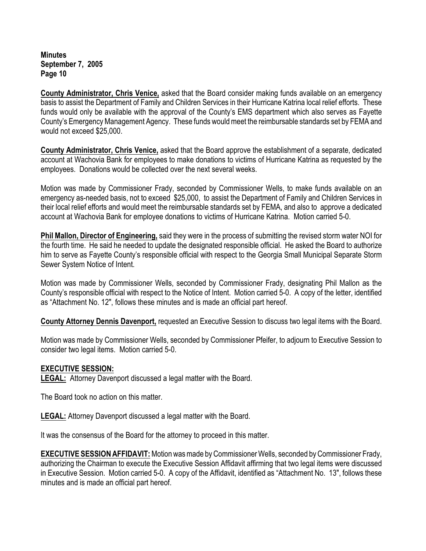**County Administrator, Chris Venice,** asked that the Board consider making funds available on an emergency basis to assist the Department of Family and Children Services in their Hurricane Katrina local relief efforts. These funds would only be available with the approval of the County's EMS department which also serves as Fayette County's Emergency Management Agency. These funds would meet the reimbursable standards set by FEMA and would not exceed \$25,000.

**County Administrator, Chris Venice,** asked that the Board approve the establishment of a separate, dedicated account at Wachovia Bank for employees to make donations to victims of Hurricane Katrina as requested by the employees. Donations would be collected over the next several weeks.

Motion was made by Commissioner Frady, seconded by Commissioner Wells, to make funds available on an emergency as-needed basis, not to exceed \$25,000, to assist the Department of Family and Children Services in their local relief efforts and would meet the reimbursable standards set by FEMA, and also to approve a dedicated account at Wachovia Bank for employee donations to victims of Hurricane Katrina. Motion carried 5-0.

**Phil Mallon, Director of Engineering,** said they were in the process of submitting the revised storm water NOI for the fourth time. He said he needed to update the designated responsible official. He asked the Board to authorize him to serve as Fayette County's responsible official with respect to the Georgia Small Municipal Separate Storm Sewer System Notice of Intent.

Motion was made by Commissioner Wells, seconded by Commissioner Frady, designating Phil Mallon as the County's responsible official with respect to the Notice of Intent. Motion carried 5-0. A copy of the letter, identified as "Attachment No. 12", follows these minutes and is made an official part hereof.

**County Attorney Dennis Davenport,** requested an Executive Session to discuss two legal items with the Board.

Motion was made by Commissioner Wells, seconded by Commissioner Pfeifer, to adjourn to Executive Session to consider two legal items. Motion carried 5-0.

### **EXECUTIVE SESSION:**

**LEGAL:** Attorney Davenport discussed a legal matter with the Board.

The Board took no action on this matter.

**LEGAL:** Attorney Davenport discussed a legal matter with the Board.

It was the consensus of the Board for the attorney to proceed in this matter.

**EXECUTIVE SESSION AFFIDAVIT:** Motion was made by Commissioner Wells, seconded by Commissioner Frady, authorizing the Chairman to execute the Executive Session Affidavit affirming that two legal items were discussed in Executive Session. Motion carried 5-0. A copy of the Affidavit, identified as "Attachment No. 13", follows these minutes and is made an official part hereof.